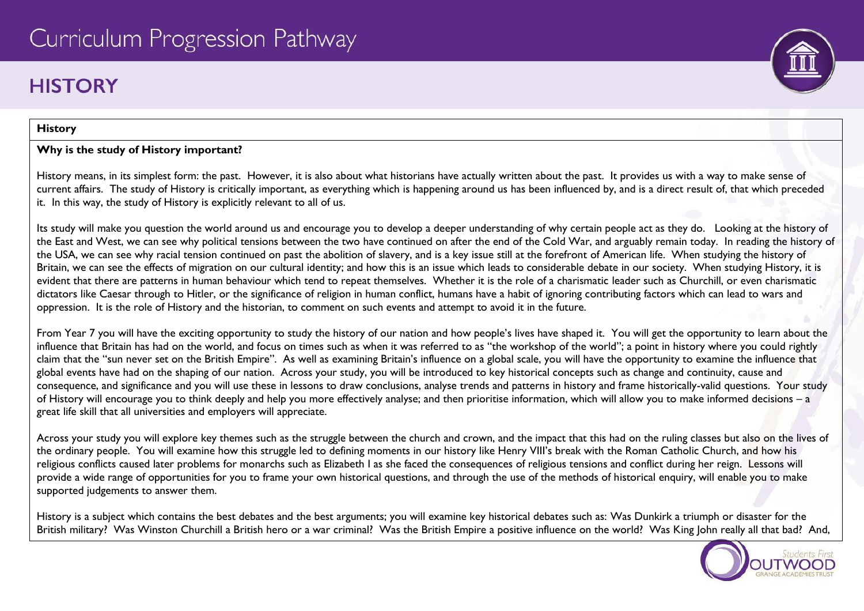# **HISTORY**

## **History**

## **Why is the study of History important?**

History means, in its simplest form: the past. However, it is also about what historians have actually written about the past. It provides us with a way to make sense of current affairs. The study of History is critically important, as everything which is happening around us has been influenced by, and is a direct result of, that which preceded it. In this way, the study of History is explicitly relevant to all of us.

Its study will make you question the world around us and encourage you to develop a deeper understanding of why certain people act as they do. Looking at the history of the East and West, we can see why political tensions between the two have continued on after the end of the Cold War, and arguably remain today. In reading the history of the USA, we can see why racial tension continued on past the abolition of slavery, and is a key issue still at the forefront of American life. When studying the history of Britain, we can see the effects of migration on our cultural identity; and how this is an issue which leads to considerable debate in our society. When studying History, it is evident that there are patterns in human behaviour which tend to repeat themselves. Whether it is the role of a charismatic leader such as Churchill, or even charismatic dictators like Caesar through to Hitler, or the significance of religion in human conflict, humans have a habit of ignoring contributing factors which can lead to wars and oppression. It is the role of History and the historian, to comment on such events and attempt to avoid it in the future.

From Year 7 you will have the exciting opportunity to study the history of our nation and how people's lives have shaped it. You will get the opportunity to learn about the influence that Britain has had on the world, and focus on times such as when it was referred to as "the workshop of the world"; a point in history where you could rightly claim that the "sun never set on the British Empire". As well as examining Britain's influence on a global scale, you will have the opportunity to examine the influence that global events have had on the shaping of our nation. Across your study, you will be introduced to key historical concepts such as change and continuity, cause and consequence, and significance and you will use these in lessons to draw conclusions, analyse trends and patterns in history and frame historically-valid questions. Your study of History will encourage you to think deeply and help you more effectively analyse; and then prioritise information, which will allow you to make informed decisions – a great life skill that all universities and employers will appreciate.

Across your study you will explore key themes such as the struggle between the church and crown, and the impact that this had on the ruling classes but also on the lives of the ordinary people. You will examine how this struggle led to defining moments in our history like Henry VIII's break with the Roman Catholic Church, and how his religious conflicts caused later problems for monarchs such as Elizabeth I as she faced the consequences of religious tensions and conflict during her reign. Lessons will provide a wide range of opportunities for you to frame your own historical questions, and through the use of the methods of historical enquiry, will enable you to make supported judgements to answer them.

History is a subject which contains the best debates and the best arguments; you will examine key historical debates such as: Was Dunkirk a triumph or disaster for the British military? Was Winston Churchill a British hero or a war criminal? Was the British Empire a positive influence on the world? Was King John really all that bad? And,



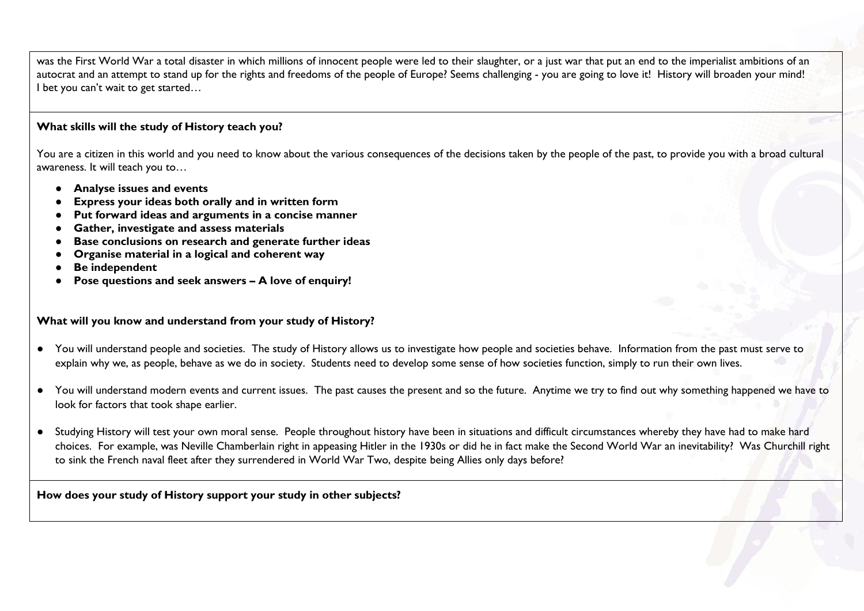was the First World War a total disaster in which millions of innocent people were led to their slaughter, or a just war that put an end to the imperialist ambitions of an autocrat and an attempt to stand up for the rights and freedoms of the people of Europe? Seems challenging - you are going to love it! History will broaden your mind! I bet you can't wait to get started…

#### **What skills will the study of History teach you?**

You are a citizen in this world and you need to know about the various consequences of the decisions taken by the people of the past, to provide you with a broad cultural awareness. It will teach you to…

- **Analyse issues and events**
- **Express your ideas both orally and in written form**
- **Put forward ideas and arguments in a concise manner**
- **Gather, investigate and assess materials**
- **Base conclusions on research and generate further ideas**
- **Organise material in a logical and coherent way**
- **Be independent**
- **Pose questions and seek answers – A love of enquiry!**

#### **What will you know and understand from your study of History?**

- You will understand people and societies. The study of History allows us to investigate how people and societies behave. Information from the past must serve to explain why we, as people, behave as we do in society. Students need to develop some sense of how societies function, simply to run their own lives.
- You will understand modern events and current issues. The past causes the present and so the future. Anytime we try to find out why something happened we have to look for factors that took shape earlier.
- Studying History will test your own moral sense. People throughout history have been in situations and difficult circumstances whereby they have had to make hard choices. For example, was Neville Chamberlain right in appeasing Hitler in the 1930s or did he in fact make the Second World War an inevitability? Was Churchill right to sink the French naval fleet after they surrendered in World War Two, despite being Allies only days before?

#### **How does your study of History support your study in other subjects?**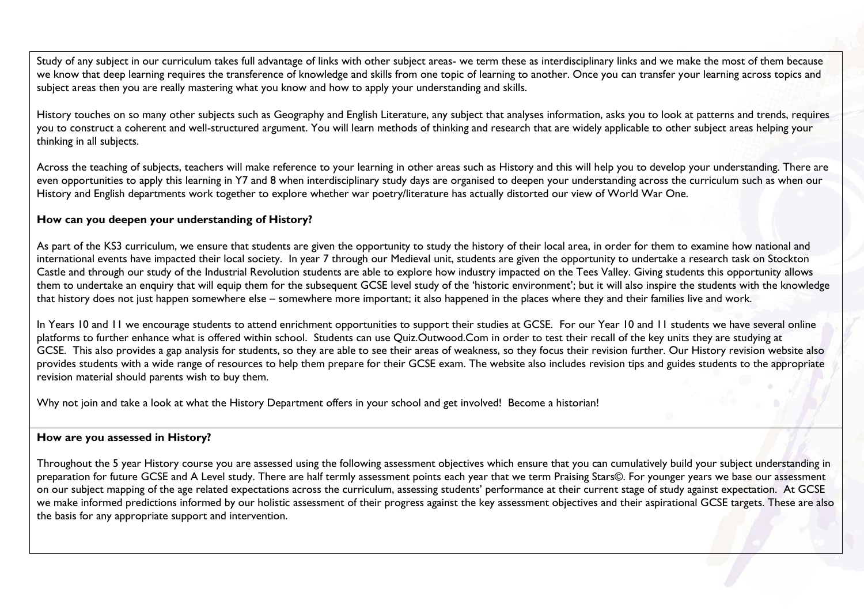Study of any subject in our curriculum takes full advantage of links with other subject areas- we term these as interdisciplinary links and we make the most of them because we know that deep learning requires the transference of knowledge and skills from one topic of learning to another. Once you can transfer your learning across topics and subject areas then you are really mastering what you know and how to apply your understanding and skills.

History touches on so many other subjects such as Geography and English Literature, any subject that analyses information, asks you to look at patterns and trends, requires you to construct a coherent and well-structured argument. You will learn methods of thinking and research that are widely applicable to other subject areas helping your thinking in all subjects.

Across the teaching of subjects, teachers will make reference to your learning in other areas such as History and this will help you to develop your understanding. There are even opportunities to apply this learning in Y7 and 8 when interdisciplinary study days are organised to deepen your understanding across the curriculum such as when our History and English departments work together to explore whether war poetry/literature has actually distorted our view of World War One.

#### **How can you deepen your understanding of History?**

As part of the KS3 curriculum, we ensure that students are given the opportunity to study the history of their local area, in order for them to examine how national and international events have impacted their local society. In year 7 through our Medieval unit, students are given the opportunity to undertake a research task on Stockton Castle and through our study of the Industrial Revolution students are able to explore how industry impacted on the Tees Valley. Giving students this opportunity allows them to undertake an enquiry that will equip them for the subsequent GCSE level study of the 'historic environment'; but it will also inspire the students with the knowledge that history does not just happen somewhere else – somewhere more important; it also happened in the places where they and their families live and work.

In Years 10 and 11 we encourage students to attend enrichment opportunities to support their studies at GCSE. For our Year 10 and 11 students we have several online platforms to further enhance what is offered within school. Students can use Quiz.Outwood.Com in order to test their recall of the key units they are studying at GCSE. This also provides a gap analysis for students, so they are able to see their areas of weakness, so they focus their revision further. Our History revision website also provides students with a wide range of resources to help them prepare for their GCSE exam. The website also includes revision tips and guides students to the appropriate revision material should parents wish to buy them.

Why not join and take a look at what the History Department offers in your school and get involved! Become a historian!

#### **How are you assessed in History?**

Throughout the 5 year History course you are assessed using the following assessment objectives which ensure that you can cumulatively build your subject understanding in preparation for future GCSE and A Level study. There are half termly assessment points each year that we term Praising Stars©. For younger years we base our assessment on our subject mapping of the age related expectations across the curriculum, assessing students' performance at their current stage of study against expectation. At GCSE we make informed predictions informed by our holistic assessment of their progress against the key assessment objectives and their aspirational GCSE targets. These are also the basis for any appropriate support and intervention.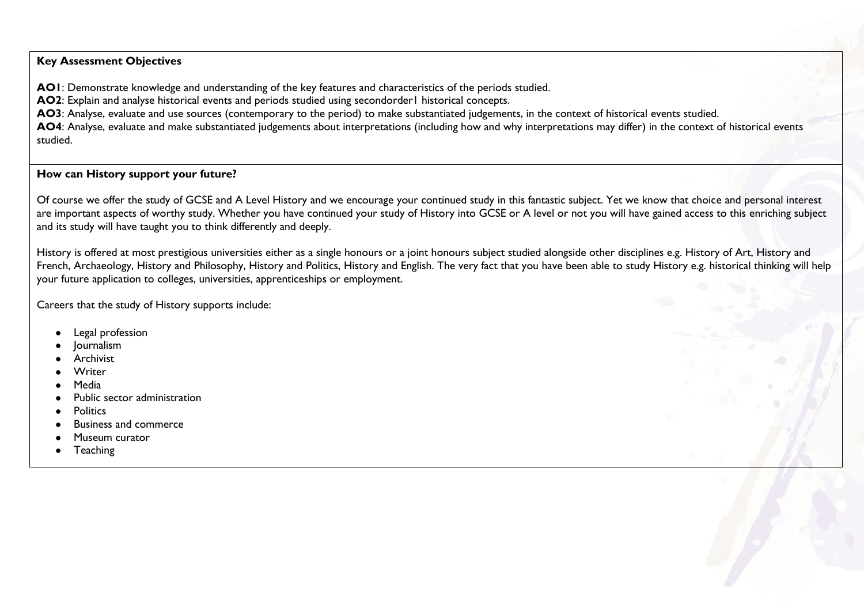#### **Key Assessment Objectives**

**AO1**: Demonstrate knowledge and understanding of the key features and characteristics of the periods studied.

**AO2**: Explain and analyse historical events and periods studied using secondorder1 historical concepts.

**AO3**: Analyse, evaluate and use sources (contemporary to the period) to make substantiated judgements, in the context of historical events studied.

**AO4**: Analyse, evaluate and make substantiated judgements about interpretations (including how and why interpretations may differ) in the context of historical events studied.

#### **How can History support your future?**

Of course we offer the study of GCSE and A Level History and we encourage your continued study in this fantastic subject. Yet we know that choice and personal interest are important aspects of worthy study. Whether you have continued your study of History into GCSE or A level or not you will have gained access to this enriching subject and its study will have taught you to think differently and deeply.

History is offered at most prestigious universities either as a single honours or a joint honours subject studied alongside other disciplines e.g. History of Art, History and French, Archaeology, History and Philosophy, History and Politics, History and English. The very fact that you have been able to study History e.g. historical thinking will help your future application to colleges, universities, apprenticeships or employment.

Careers that the study of History supports include:

- Legal profession
- **Journalism**
- **Archivist**
- **Writer**
- **Media**
- Public sector administration
- **Politics**
- **Business and commerce**
- Museum curator
- **Teaching**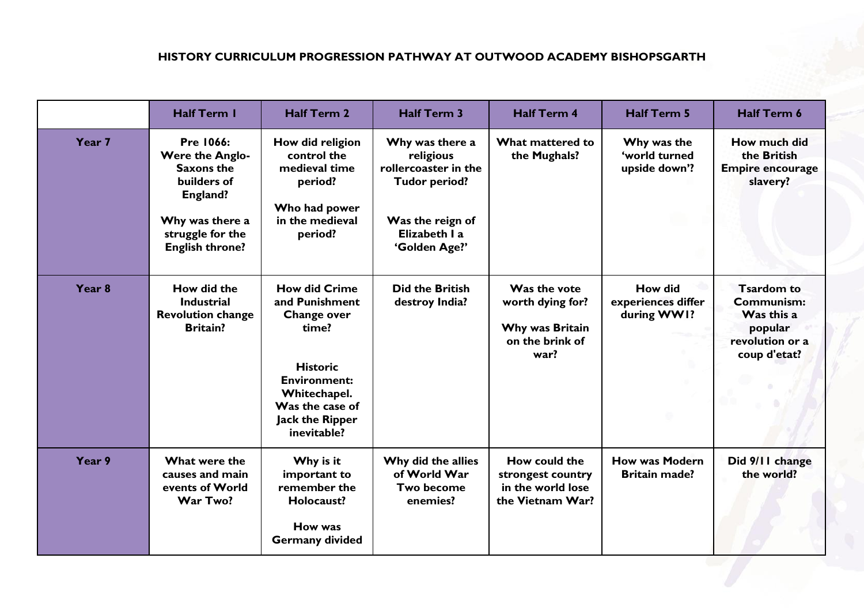# **HISTORY CURRICULUM PROGRESSION PATHWAY AT OUTWOOD ACADEMY BISHOPSGARTH**

|                   | <b>Half Term I</b>                                                                                                                                          | <b>Half Term 2</b>                                                                                                                                                                   | <b>Half Term 3</b>                                                                                                                 | <b>Half Term 4</b>                                                             | <b>Half Term 5</b>                                  | Half Term 6                                                                                 |
|-------------------|-------------------------------------------------------------------------------------------------------------------------------------------------------------|--------------------------------------------------------------------------------------------------------------------------------------------------------------------------------------|------------------------------------------------------------------------------------------------------------------------------------|--------------------------------------------------------------------------------|-----------------------------------------------------|---------------------------------------------------------------------------------------------|
| Year 7            | <b>Pre 1066:</b><br><b>Were the Anglo-</b><br><b>Saxons the</b><br>builders of<br>England?<br>Why was there a<br>struggle for the<br><b>English throne?</b> | How did religion<br>control the<br>medieval time<br>period?<br>Who had power<br>in the medieval<br>period?                                                                           | Why was there a<br>religious<br>rollercoaster in the<br><b>Tudor period?</b><br>Was the reign of<br>Elizabeth I a<br>'Golden Age?' | What mattered to<br>the Mughals?                                               | Why was the<br>'world turned<br>upside down'?       | How much did<br>the British<br><b>Empire encourage</b><br>slavery?                          |
| Year <sub>8</sub> | How did the<br><b>Industrial</b><br><b>Revolution change</b><br><b>Britain?</b>                                                                             | <b>How did Crime</b><br>and Punishment<br>Change over<br>time?<br><b>Historic</b><br><b>Environment:</b><br>Whitechapel.<br>Was the case of<br><b>Jack the Ripper</b><br>inevitable? | <b>Did the British</b><br>destroy India?                                                                                           | Was the vote<br>worth dying for?<br>Why was Britain<br>on the brink of<br>war? | <b>How did</b><br>experiences differ<br>during WW1? | <b>Tsardom to</b><br>Communism:<br>Was this a<br>popular<br>revolution or a<br>coup d'etat? |
| Year 9            | What were the<br>causes and main<br>events of World<br>War Two?                                                                                             | Why is it<br>important to<br>remember the<br>Holocaust?<br>How was<br><b>Germany divided</b>                                                                                         | Why did the allies<br>of World War<br><b>Two become</b><br>enemies?                                                                | How could the<br>strongest country<br>in the world lose<br>the Vietnam War?    | <b>How was Modern</b><br><b>Britain made?</b>       | Did 9/11 change<br>the world?                                                               |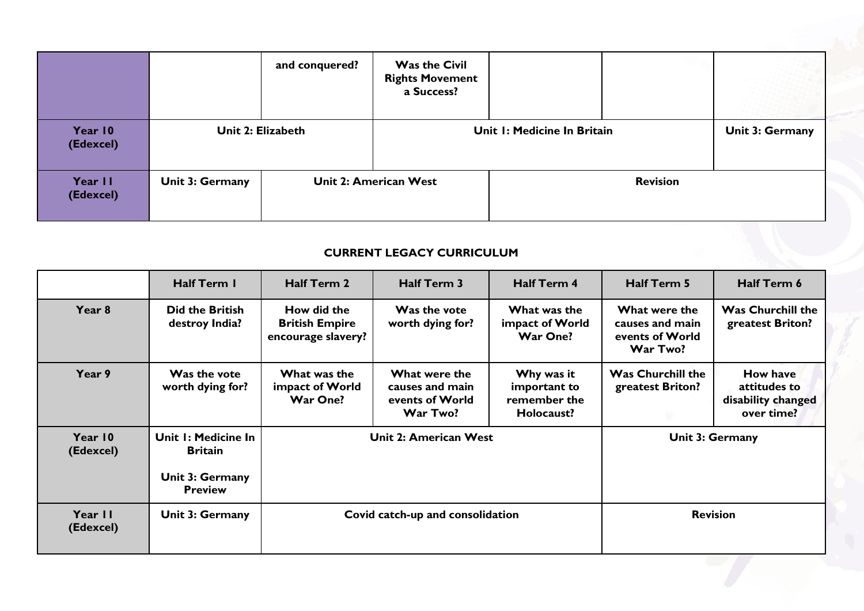|                      |                        | and conquered?               | <b>Was the Civil</b><br><b>Rights Movement</b><br>a Success? |                 |  |                        |
|----------------------|------------------------|------------------------------|--------------------------------------------------------------|-----------------|--|------------------------|
| Year 10<br>(Edexcel) | Unit 2: Elizabeth      |                              | Unit I: Medicine In Britain                                  |                 |  | <b>Unit 3: Germany</b> |
| Year II<br>(Edexcel) | <b>Unit 3: Germany</b> | <b>Unit 2: American West</b> |                                                              | <b>Revision</b> |  |                        |

# **CURRENT LEGACY CURRICULUM**

|                      | Half Term I                                                                | <b>Half Term 2</b>                                         | <b>Half Term 3</b>                                              | <b>Half Term 4</b>                                       | <b>Half Term 5</b>                                              | Half Term 6                                                  |
|----------------------|----------------------------------------------------------------------------|------------------------------------------------------------|-----------------------------------------------------------------|----------------------------------------------------------|-----------------------------------------------------------------|--------------------------------------------------------------|
| Year 8               | <b>Did the British</b><br>destroy India?                                   | How did the<br><b>British Empire</b><br>encourage slavery? | Was the vote<br>worth dying for?                                | What was the<br>impact of World<br><b>War One?</b>       | What were the<br>causes and main<br>events of World<br>War Two? | <b>Was Churchill the</b><br>greatest Briton?                 |
| Year 9               | Was the vote<br>worth dying for?                                           | What was the<br>impact of World<br><b>War One?</b>         | What were the<br>causes and main<br>events of World<br>War Two? | Why was it<br>important to<br>remember the<br>Holocaust? | <b>Was Churchill the</b><br>greatest Briton?                    | How have<br>attitudes to<br>disability changed<br>over time? |
| Year 10<br>(Edexcel) | Unit I: Medicine In<br><b>Britain</b><br>Unit 3: Germany<br><b>Preview</b> |                                                            | Unit 2: American West                                           |                                                          |                                                                 | Unit 3: Germany                                              |
| Year II<br>(Edexcel) | <b>Unit 3: Germany</b>                                                     | Covid catch-up and consolidation                           |                                                                 |                                                          | <b>Revision</b>                                                 |                                                              |